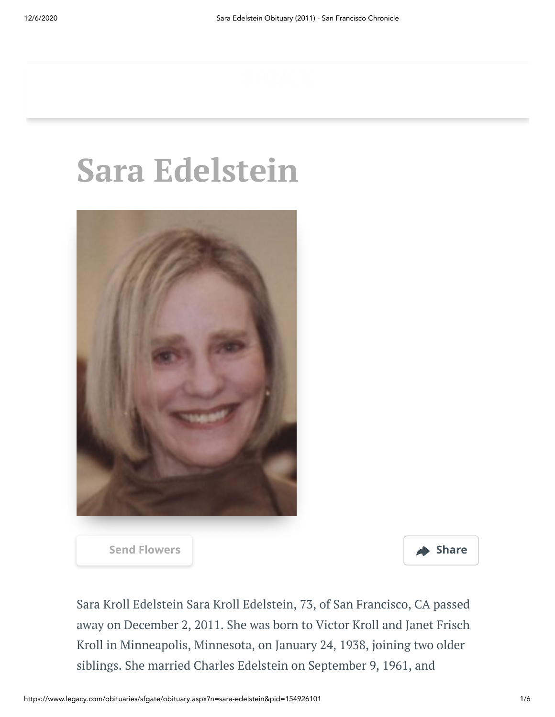# **Sara Edelstein**





Sara Kroll Edelstein Sara Kroll Edelstein, 73, of San Francisco, CA passed away on December 2, 2011. She was born to Victor Kroll and Janet Frisch Kroll in Minneapolis, Minnesota, on January 24, 1938, joining two older siblings. She married Charles Edelstein on September 9, 1961, and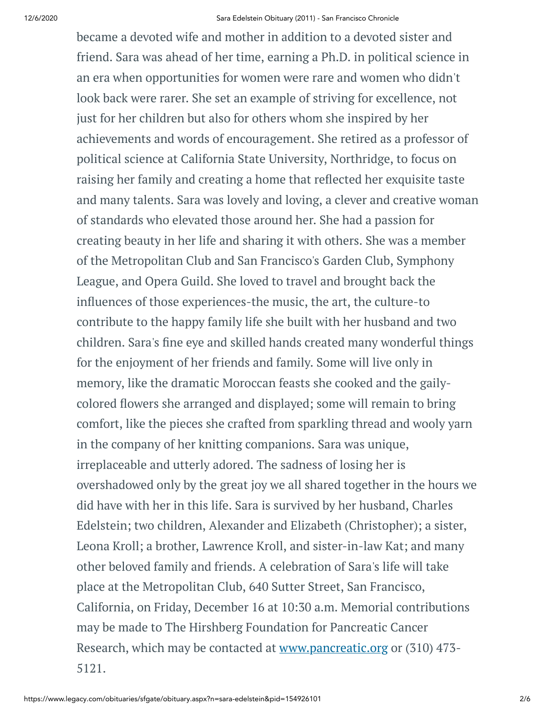became a devoted wife and mother in addition to a devoted sister and friend. Sara was ahead of her time, earning a Ph.D. in political science in an era when opportunities for women were rare and women who didn't look back were rarer. She set an example of striving for excellence, not just for her children but also for others whom she inspired by her achievements and words of encouragement. She retired as a professor of political science at California State University, Northridge, to focus on raising her family and creating a home that reflected her exquisite taste and many talents. Sara was lovely and loving, a clever and creative woman of standards who elevated those around her. She had a passion for creating beauty in her life and sharing it with others. She was a member of the Metropolitan Club and San Francisco's Garden Club, Symphony League, and Opera Guild. She loved to travel and brought back the influences of those experiences-the music, the art, the culture-to contribute to the happy family life she built with her husband and two children. Sara's fine eye and skilled hands created many wonderful things for the enjoyment of her friends and family. Some will live only in memory, like the dramatic Moroccan feasts she cooked and the gailycolored flowers she arranged and displayed; some will remain to bring comfort, like the pieces she crafted from sparkling thread and wooly yarn in the company of her knitting companions. Sara was unique, irreplaceable and utterly adored. The sadness of losing her is overshadowed only by the great joy we all shared together in the hours we did have with her in this life. Sara is survived by her husband, Charles Edelstein; two children, Alexander and Elizabeth (Christopher); a sister, Leona Kroll; a brother, Lawrence Kroll, and sister-in-law Kat; and many other beloved family and friends. A celebration of Sara's life will take place at the Metropolitan Club, 640 Sutter Street, San Francisco, California, on Friday, December 16 at 10:30 a.m. Memorial contributions may be made to The Hirshberg Foundation for Pancreatic Cancer Research, which may be contacted at [www.pancreatic.org](http://www.pancreatic.org/) or (310) 473- 5121.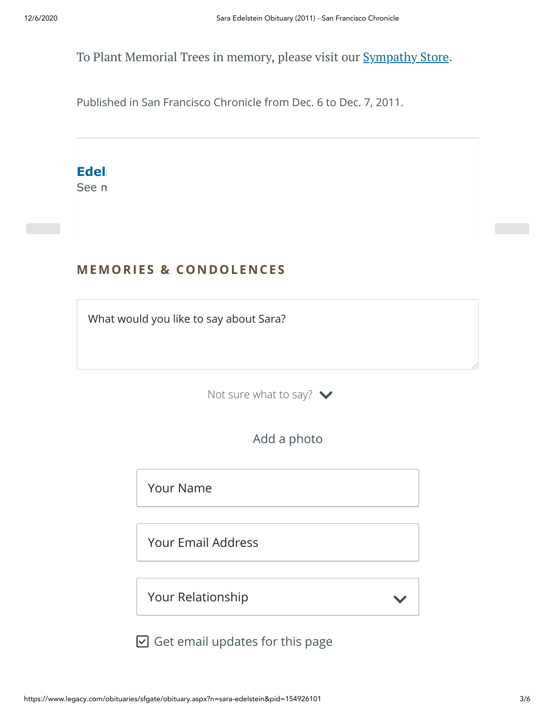To Plant Memorial Trees in memory, please visit our **[Sympathy](https://sympathy.legacy.com/en-us/funeral-flowers/name/sara-edelstein-funeral-flowers/p154926101/?affiliateId=662&pm=240) Store**.

Published in San Francisco Chronicle from Dec. 6 to Dec. 7, 2011.

**Edel** 

See n

# **MEMORIES & CO N DOLE N CES**

What would you like to say about Sara?

Not sure what to say?  $\blacktriangleright$ 



Your Name

Your Email Address

Your Relationship

 $\boxdot$  Get email updates for this page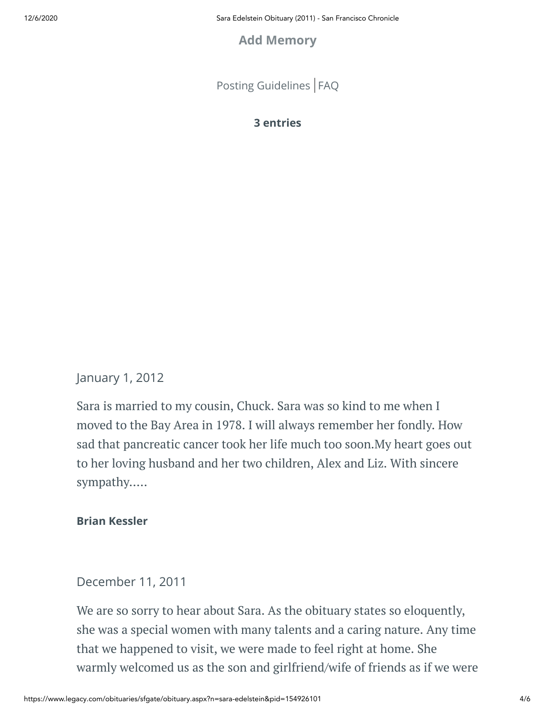12/6/2020 Sara Edelstein Obituary (2011) - San Francisco Chronicle

# **Add Memory**

[Posting Guidelines](https://www.legacy.com/guestbooks/posting-guidelines.aspx?n=Sara-Edelstein&pid=154926101) | [FAQ](https://www.legacy.com/guestbooks/faq.aspx?n=Sara-Edelstein&pid=154926101)

**3 entries**

# January 1, 2012

Sara is married to my cousin, Chuck. Sara was so kind to me when I moved to the Bay Area in 1978. I will always remember her fondly. How sad that pancreatic cancer took her life much too soon.My heart goes out to her loving husband and her two children, Alex and Liz. With sincere sympathy.....

#### **Brian Kessler**

### December 11, 2011

We are so sorry to hear about Sara. As the obituary states so eloquently, she was a special women with many talents and a caring nature. Any time that we happened to visit, we were made to feel right at home. She warmly welcomed us as the son and girlfriend/wife of friends as if we were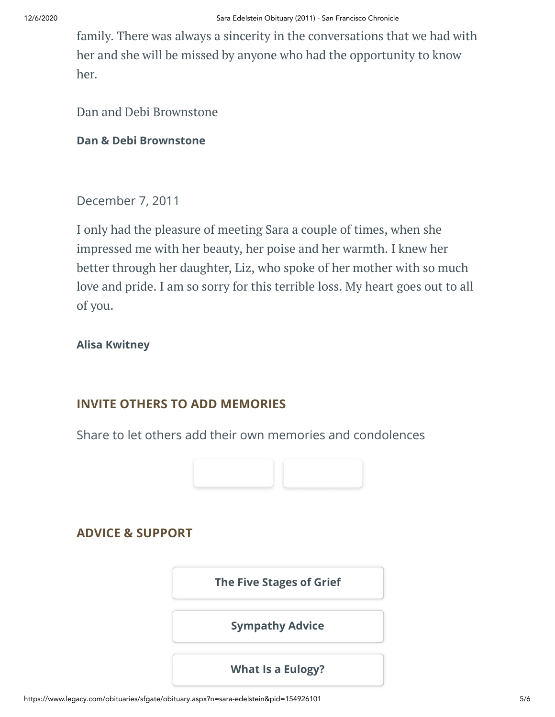family. There was always a sincerity in the conversations that we had with her and she will be missed by anyone who had the opportunity to know her.

Dan and Debi Brownstone

#### **Dan & Debi Brownstone**

December 7, 2011

I only had the pleasure of meeting Sara a couple of times, when she impressed me with her beauty, her poise and her warmth. I knew her better through her daughter, Liz, who spoke of her mother with so much love and pride. I am so sorry for this terrible loss. My heart goes out to all of you.

#### **Alisa Kwitney**

### **INVITE OTHERS TO ADD MEMORIES**

Share to let others add their own memories and condolences



# **ADVICE & SUPPORT**